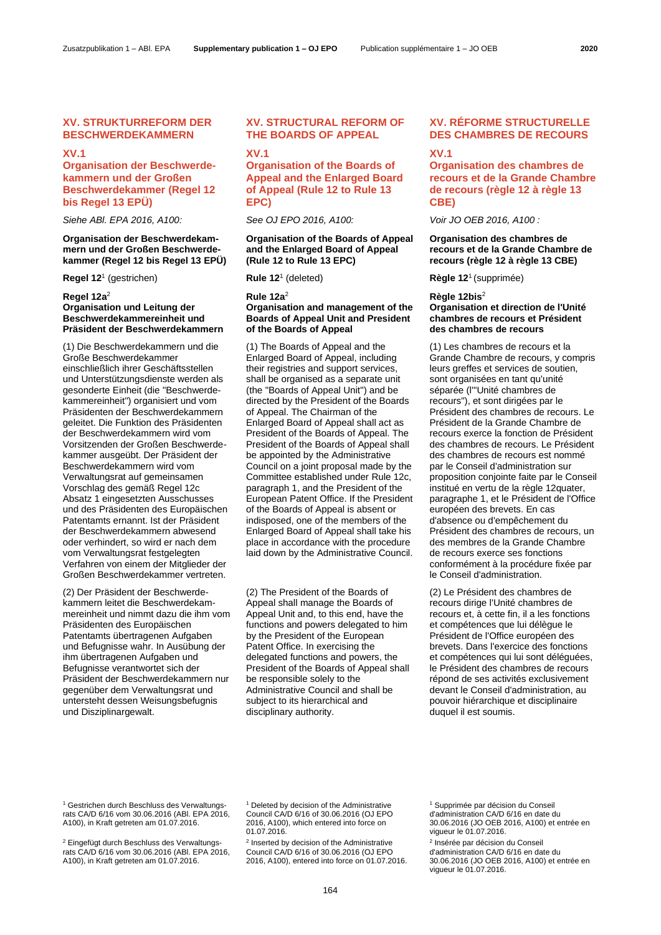## **XV. STRUKTURREFORM DER BESCHWERDEKAMMERN**

#### **XV.1**

# **Organisation der Beschwerdekammern und der Großen Beschwerdekammer (Regel 12 bis Regel 13 EPÜ)**

*Siehe ABl. EPA 2016, A100: See OJ EPO 2016, A100: Voir JO OEB 2016, A100 :*

#### **Organisation der Beschwerdekammern und der Großen Beschwerdekammer (Regel 12 bis Regel 13 EPÜ)**

<span id="page-0-0"></span>**Regel 12**<sup>1</sup> (gestrichen) **Rule 1[2](#page-0-0)**<sup>1</sup>

# <span id="page-0-1"></span>**Regel 12a**<sup>2</sup> **Organisation und Leitung der Beschwerdekammereinheit und Präsident der Beschwerdekammern**

(1) Die Beschwerdekammern und die Große Beschwerdekammer einschließlich ihrer Geschäftsstellen und Unterstützungsdienste werden als gesonderte Einheit (die "Beschwerdekammereinheit") organisiert und vom Präsidenten der Beschwerdekammern geleitet. Die Funktion des Präsidenten der Beschwerdekammern wird vom Vorsitzenden der Großen Beschwerdekammer ausgeübt. Der Präsident der Beschwerdekammern wird vom Verwaltungsrat auf gemeinsamen Vorschlag des gemä[ß Regel](http://www.epo.org/law-practice/legal-texts/html/epc/2016/d/r12c.html) 12c [Absatz 1](http://www.epo.org/law-practice/legal-texts/html/epc/2016/d/r12c.html) eingesetzten Ausschusses und des Präsidenten des Europäischen Patentamts ernannt. Ist der Präsident der Beschwerdekammern abwesend oder verhindert, so wird er nach dem vom Verwaltungsrat festgelegten Verfahren von einem der Mitglieder der Großen Beschwerdekammer vertreten.

(2) Der Präsident der Beschwerdekammern leitet die Beschwerdekammereinheit und nimmt dazu die ihm vom Präsidenten des Europäischen Patentamts übertragenen Aufgaben und Befugnisse wahr. In Ausübung der ihm übertragenen Aufgaben und Befugnisse verantwortet sich der Präsident der Beschwerdekammern nur gegenüber dem Verwaltungsrat und untersteht dessen Weisungsbefugnis und Disziplinargewalt.

# **XV. STRUCTURAL REFORM OF THE BOARDS OF APPEAL**

#### **XV.1**

**Organisation of the Boards of Appeal and the Enlarged Board of Appeal (Rule 12 to Rule 13 EPC)**

# **Organisation of the Boards of Appeal and the Enlarged Board of Appeal (Rule 12 to Rule 13 EPC)**

# **Rule 12a**[2](#page-0-1)

# **Organisation and management of the Boards of Appeal Unit and President of the Boards of Appeal**

(1) The Boards of Appeal and the Enlarged Board of Appeal, including their registries and support services, shall be organised as a separate unit (the "Boards of Appeal Unit") and be directed by the President of the Boards of Appeal. The Chairman of the Enlarged Board of Appeal shall act as President of the Boards of Appeal. The President of the Boards of Appeal shall be appointed by the Administrative Council on a joint proposal made by the Committee established unde[r Rule](http://www.epo.org/law-practice/legal-texts/html/epc/2016/e/r12c.html) 12c, [paragraph 1,](http://www.epo.org/law-practice/legal-texts/html/epc/2016/e/r12c.html) and the President of the European Patent Office. If the President of the Boards of Appeal is absent or indisposed, one of the members of the Enlarged Board of Appeal shall take his place in accordance with the procedure laid down by the Administrative Council.

# (2) The President of the Boards of Appeal shall manage the Boards of Appeal Unit and, to this end, have the functions and powers delegated to him by the President of the European Patent Office. In exercising the delegated functions and powers, the President of the Boards of Appeal shall be responsible solely to the Administrative Council and shall be subject to its hierarchical and disciplinary authority.

# **XV. RÉFORME STRUCTURELLE DES CHAMBRES DE RECOURS**

# **XV.1**

# **Organisation des chambres de recours et de la Grande Chambre de recours (règle 12 à règle 13 CBE)**

## **Organisation des chambres de recours et de la Grande Chambre de recours (règle 12 à règle 13 CBE)**

(deleted) **Règle 1[2](#page-0-0)**<sup>1</sup> (supprimée)

# **Règle 12bi[s](#page-0-1)**<sup>2</sup>

# **Organisation et direction de l'Unité chambres de recours et Président des chambres de recours**

(1) Les chambres de recours et la Grande Chambre de recours, y compris leurs greffes et services de soutien, sont organisées en tant qu'unité séparée (l'"Unité chambres de recours"), et sont dirigées par le Président des chambres de recours. Le Président de la Grande Chambre de recours exerce la fonction de Président des chambres de recours. Le Président des chambres de recours est nommé par le Conseil d'administration sur proposition conjointe faite par le Conseil institué en vertu de la règle [12quater,](http://www.epo.org/law-practice/legal-texts/html/epc/2016/f/r12c.html)  [paragraphe 1,](http://www.epo.org/law-practice/legal-texts/html/epc/2016/f/r12c.html) et le Président de l'Office européen des brevets. En cas d'absence ou d'empêchement du Président des chambres de recours, un des membres de la Grande Chambre de recours exerce ses fonctions conformément à la procédure fixée par le Conseil d'administration.

(2) Le Président des chambres de recours dirige l'Unité chambres de recours et, à cette fin, il a les fonctions et compétences que lui délègue le Président de l'Office européen des brevets. Dans l'exercice des fonctions et compétences qui lui sont déléguées, le Président des chambres de recours répond de ses activités exclusivement devant le Conseil d'administration, au pouvoir hiérarchique et disciplinaire duquel il est soumis.

<sup>1</sup> Gestrichen durch Beschluss des Verwaltungsrats CA/D 6/16 vom 30.06.2016 (ABl. EPA [2016,](http://www.epo.org/law-practice/legal-texts/official-journal/2016/12/a100_de.html)  [A100\)](http://www.epo.org/law-practice/legal-texts/official-journal/2016/12/a100_de.html), in Kraft getreten am 01.07.2016.

<sup>2</sup> Eingefügt durch Beschluss des Verwaltungsrats CA/D 6/16 vom 30.06.2016 [\(ABl. EPA 2016,](http://www.epo.org/law-practice/legal-texts/official-journal/2016/12/a100_de.html)  [A100\)](http://www.epo.org/law-practice/legal-texts/official-journal/2016/12/a100_de.html), in Kraft getreten am 01.07.2016.

<sup>[1](#page-0-0)</sup> Deleted by decision of the Administrative Council CA/D 6/16 of 30.06.2016 [\(OJ EPO](http://www.epo.org/law-practice/legal-texts/official-journal/2016/12/a100.html)  [2016, A100\),](http://www.epo.org/law-practice/legal-texts/official-journal/2016/12/a100.html) which entered into force on 01.07.2016.

[2](#page-0-1) Inserted by decision of the Administrative Council CA/D 6/16 of 30.06.2016 [\(OJ EPO](http://www.epo.org/law-practice/legal-texts/official-journal/2016/12/a100.html)  [2016, A100\),](http://www.epo.org/law-practice/legal-texts/official-journal/2016/12/a100.html) entered into force on 01.07.2016.

<sup>[1](#page-0-0)</sup> Supprimée par décision du Conseil d'administration CA/D 6/16 en date du 30.06.2016 [\(JO OEB 2016, A100\)](http://www.epo.org/law-practice/legal-texts/official-journal/2016/12/a100_fr.html) et entrée en vigueur le 01.07.2016.

[2](#page-0-1) Insérée par décision du Conseil d'administration CA/D 6/16 en date du 30.06.2016 [\(JO OEB 2016, A100\)](http://www.epo.org/law-practice/legal-texts/official-journal/2016/12/a100_fr.html) et entrée en vigueur le 01.07.2016.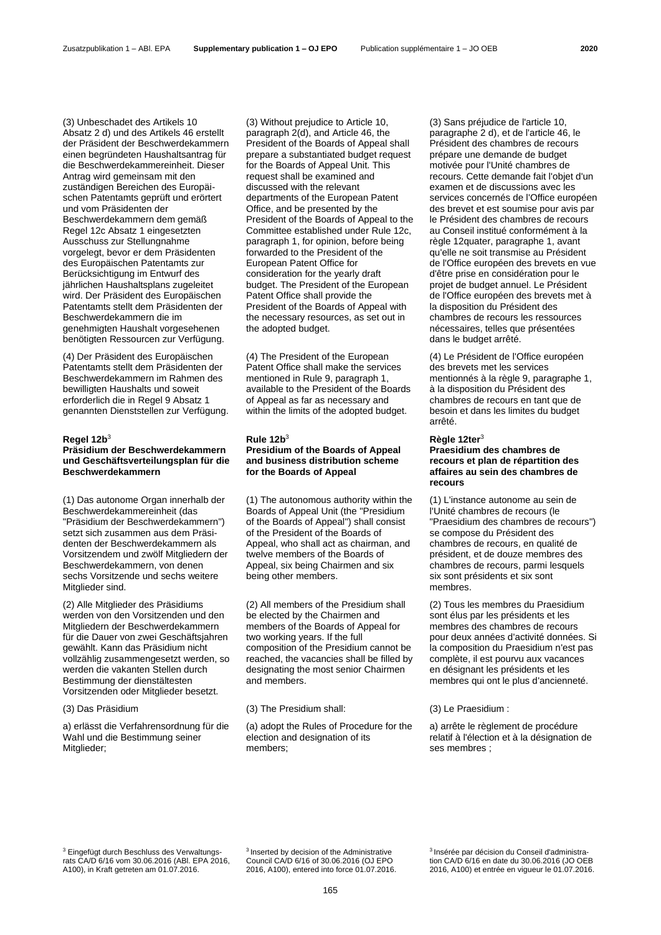(3) Unbeschadet des [Artikels 10](http://www.epo.org/law-practice/legal-texts/html/epc/2016/d/ar10.html)  [Absatz](http://www.epo.org/law-practice/legal-texts/html/epc/2016/d/ar10.html) 2 d) und de[s Artikels 46](http://www.epo.org/law-practice/legal-texts/html/epc/2016/d/ar46.html) erstellt der Präsident der Beschwerdekammern einen begründeten Haushaltsantrag für die Beschwerdekammereinheit. Dieser Antrag wird gemeinsam mit den zuständigen Bereichen des Europäischen Patentamts geprüft und erörtert und vom Präsidenten der Beschwerdekammern dem gemäß Regel [12c Absatz 1](http://www.epo.org/law-practice/legal-texts/html/epc/2016/d/r12c.html) eingesetzten Ausschuss zur Stellungnahme vorgelegt, bevor er dem Präsidenten des Europäischen Patentamts zur Berücksichtigung im Entwurf des jährlichen Haushaltsplans zugeleitet wird. Der Präsident des Europäischen Patentamts stellt dem Präsidenten der Beschwerdekammern die im genehmigten Haushalt vorgesehenen benötigten Ressourcen zur Verfügung.

(4) Der Präsident des Europäischen Patentamts stellt dem Präsidenten der Beschwerdekammern im Rahmen des bewilligten Haushalts und soweit erforderlich die in Regel [9 Absatz 1](http://www.epo.org/law-practice/legal-texts/html/epc/2016/d/r9.html) genannten Dienststellen zur Verfügung.

### <span id="page-1-0"></span>**Regel 12b**<sup>3</sup> **Präsidium der Beschwerdekammern und Geschäftsverteilungsplan für die Beschwerdekammern**

(1) Das autonome Organ innerhalb der Beschwerdekammereinheit (das "Präsidium der Beschwerdekammern") setzt sich zusammen aus dem Präsidenten der Beschwerdekammern als Vorsitzendem und zwölf Mitgliedern der Beschwerdekammern, von denen sechs Vorsitzende und sechs weitere Mitglieder sind.

(2) Alle Mitglieder des Präsidiums werden von den Vorsitzenden und den Mitgliedern der Beschwerdekammern für die Dauer von zwei Geschäftsjahren gewählt. Kann das Präsidium nicht vollzählig zusammengesetzt werden, so werden die vakanten Stellen durch Bestimmung der dienstältesten Vorsitzenden oder Mitglieder besetzt.

a) erlässt die Verfahrensordnung für die Wahl und die Bestimmung seiner Mitglieder;

(3) Without prejudice to [Article](http://www.epo.org/law-practice/legal-texts/html/epc/2016/e/ar10.html) 10, [paragraph 2\(d\),](http://www.epo.org/law-practice/legal-texts/html/epc/2016/e/ar10.html) and [Article](http://www.epo.org/law-practice/legal-texts/html/epc/2016/e/ar46.html) 46, the President of the Boards of Appeal shall prepare a substantiated budget request for the Boards of Appeal Unit. This request shall be examined and discussed with the relevant departments of the European Patent Office, and be presented by the President of the Boards of Appeal to the Committee established unde[r Rule](http://www.epo.org/law-practice/legal-texts/html/epc/2016/e/r12c.html) 12c, [paragraph 1,](http://www.epo.org/law-practice/legal-texts/html/epc/2016/e/r12c.html) for opinion, before being forwarded to the President of the European Patent Office for consideration for the yearly draft budget. The President of the European Patent Office shall provide the President of the Boards of Appeal with the necessary resources, as set out in the adopted budget.

(4) The President of the European Patent Office shall make the services mentioned in Rule [9, paragraph 1,](http://www.epo.org/law-practice/legal-texts/html/epc/2016/e/r9.html) available to the President of the Boards of Appeal as far as necessary and within the limits of the adopted budget.

# **Rule 12[b](#page-1-0)**<sup>3</sup> **Presidium of the Boards of Appeal and business distribution scheme for the Boards of Appeal**

(1) The autonomous authority within the Boards of Appeal Unit (the "Presidium of the Boards of Appeal") shall consist of the President of the Boards of Appeal, who shall act as chairman, and twelve members of the Boards of Appeal, six being Chairmen and six being other members.

(2) All members of the Presidium shall be elected by the Chairmen and members of the Boards of Appeal for two working years. If the full composition of the Presidium cannot be reached, the vacancies shall be filled by designating the most senior Chairmen and members.

(3) Das Präsidium (3) The Presidium shall: (3) Le Praesidium :

(a) adopt the Rules of Procedure for the election and designation of its members;

(3) Sans préjudice de [l'article](http://www.epo.org/law-practice/legal-texts/html/epc/2016/f/ar10.html) 10, [paragraphe 2 d\),](http://www.epo.org/law-practice/legal-texts/html/epc/2016/f/ar10.html) et d[e l'article](http://www.epo.org/law-practice/legal-texts/html/epc/2016/f/ar46.html) 46, le Président des chambres de recours prépare une demande de budget motivée pour l'Unité chambres de recours. Cette demande fait l'objet d'un examen et de discussions avec les services concernés de l'Office européen des brevet et est soumise pour avis par le Président des chambres de recours au Conseil institué conformément à la règle [12quater, paragraphe 1,](http://www.epo.org/law-practice/legal-texts/html/epc/2016/f/r12c.html) avant qu'elle ne soit transmise au Président de l'Office européen des brevets en vue d'être prise en considération pour le projet de budget annuel. Le Président de l'Office européen des brevets met à la disposition du Président des chambres de recours les ressources nécessaires, telles que présentées dans le budget arrêté.

(4) Le Président de l'Office européen des brevets met les services mentionnés à la règle [9, paragraphe 1,](http://www.epo.org/law-practice/legal-texts/html/epc/2016/f/r9.html) à la disposition du Président des chambres de recours en tant que de besoin et dans les limites du budget arrêté.

# **Règle 12ter**[3](#page-1-0)

# **Praesidium des chambres de recours et plan de répartition des affaires au sein des chambres de recours**

(1) L'instance autonome au sein de l'Unité chambres de recours (le "Praesidium des chambres de recours") se compose du Président des chambres de recours, en qualité de président, et de douze membres des chambres de recours, parmi lesquels six sont présidents et six sont membres.

(2) Tous les membres du Praesidium sont élus par les présidents et les membres des chambres de recours pour deux années d'activité données. Si la composition du Praesidium n'est pas complète, il est pourvu aux vacances en désignant les présidents et les membres qui ont le plus d'ancienneté.

a) arrête le règlement de procédure relatif à l'élection et à la désignation de ses membres ;

<sup>3</sup> Eingefügt durch Beschluss des Verwaltungs rats CA/D 6/16 vom 30.06.2016 [\(ABl. EPA 2016,](http://www.epo.org/law-practice/legal-texts/official-journal/2016/12/a100_de.html)  [A100\)](http://www.epo.org/law-practice/legal-texts/official-journal/2016/12/a100_de.html), in Kraft getreten am 01.07.2016.

[3](#page-1-0) Inserted by decision of the Administrative Council CA/D 6/16 of 30.06.2016 [\(OJ EPO](http://www.epo.org/law-practice/legal-texts/official-journal/2016/12/a100.html)  [2016, A100\),](http://www.epo.org/law-practice/legal-texts/official-journal/2016/12/a100.html) entered into force 01.07.2016.

[3](#page-1-0) Insérée par décision du Conseil d'administration CA/D 6/16 en date du 30.06.2016 [\(JO OEB](http://www.epo.org/law-practice/legal-texts/official-journal/2016/12/a100_fr.html)  [2016, A100\)](http://www.epo.org/law-practice/legal-texts/official-journal/2016/12/a100_fr.html) et entrée en vigueur le 01.07.2016.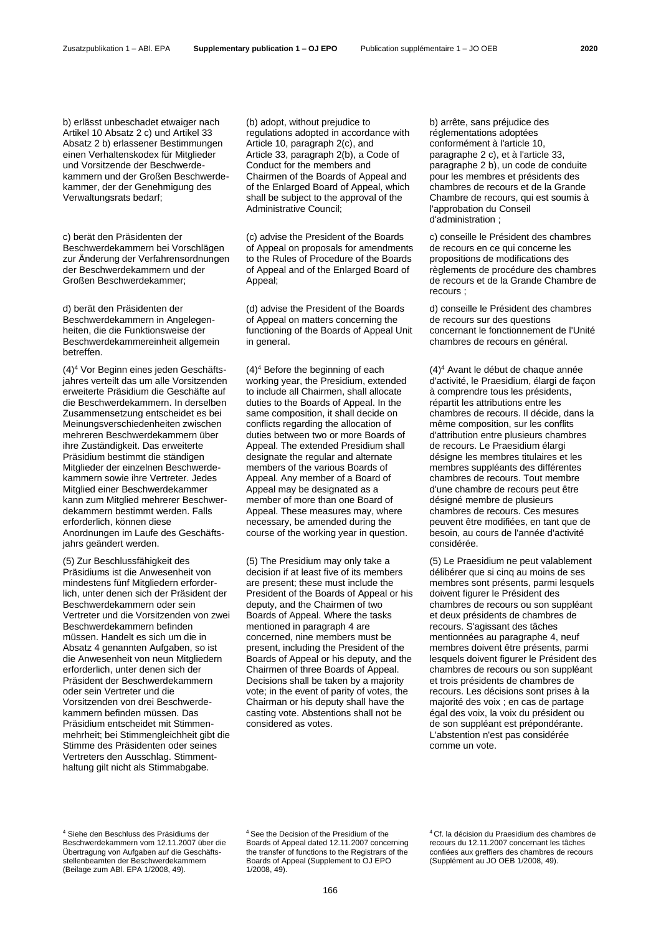b) erlässt unbeschadet etwaiger nach Artikel [10 Absatz 2 c\)](http://www.epo.org/law-practice/legal-texts/html/epc/2016/d/ar10.html) und [Artikel](http://www.epo.org/law-practice/legal-texts/html/epc/2016/d/ar33.html) 33 [Absatz 2 b\)](http://www.epo.org/law-practice/legal-texts/html/epc/2016/d/ar33.html) erlassener Bestimmungen einen Verhaltenskodex für Mitglieder und Vorsitzende der Beschwerdekammern und der Großen Beschwerdekammer, der der Genehmigung des Verwaltungsrats bedarf;

c) berät den Präsidenten der Beschwerdekammern bei Vorschlägen zur Änderung der Verfahrensordnungen der Beschwerdekammern und der Großen Beschwerdekammer;

d) berät den Präsidenten der Beschwerdekammern in Angelegenheiten, die die Funktionsweise der Beschwerdekammereinheit allgemein betreffen.

<span id="page-2-0"></span>(4)<sup>4</sup> Vor Beginn eines jeden Geschäftsjahres verteilt das um alle Vorsitzenden erweiterte Präsidium die Geschäfte auf die Beschwerdekammern. In derselben Zusammensetzung entscheidet es bei Meinungsverschiedenheiten zwischen mehreren Beschwerdekammern über ihre Zuständigkeit. Das erweiterte Präsidium bestimmt die ständigen Mitglieder der einzelnen Beschwerdekammern sowie ihre Vertreter. Jedes Mitglied einer Beschwerdekammer kann zum Mitglied mehrerer Beschwerdekammern bestimmt werden. Falls erforderlich, können diese Anordnungen im Laufe des Geschäftsjahrs geändert werden.

(5) Zur Beschlussfähigkeit des Präsidiums ist die Anwesenheit von mindestens fünf Mitgliedern erforderlich, unter denen sich der Präsident der Beschwerdekammern oder sein Vertreter und die Vorsitzenden von zwei Beschwerdekammern befinden müssen. Handelt es sich um die in [Absatz 4](http://www.epo.org/law-practice/legal-texts/html/epc/2016/d/r12b.html) genannten Aufgaben, so ist die Anwesenheit von neun Mitgliedern erforderlich, unter denen sich der Präsident der Beschwerdekammern oder sein Vertreter und die Vorsitzenden von drei Beschwerdekammern befinden müssen. Das Präsidium entscheidet mit Stimmenmehrheit; bei Stimmengleichheit gibt die Stimme des Präsidenten oder seines Vertreters den Ausschlag. Stimmenthaltung gilt nicht als Stimmabgabe.

(b) adopt, without prejudice to regulations adopted in accordance with Article [10, paragraph 2\(c\),](http://www.epo.org/law-practice/legal-texts/html/epc/2016/e/ar10.html) and Article [33, paragraph 2\(b\),](http://www.epo.org/law-practice/legal-texts/html/epc/2016/e/ar33.html) a Code of Conduct for the members and Chairmen of the Boards of Appeal and of the Enlarged Board of Appeal, which shall be subject to the approval of the Administrative Council;

(c) advise the President of the Boards of Appeal on proposals for amendments to the Rules of Procedure of the Boards of Appeal and of the Enlarged Board of Appeal;

(d) advise the President of the Boards of Appeal on matters concerning the functioning of the Boards of Appeal Unit in general.

 $(4)<sup>4</sup>$  $(4)<sup>4</sup>$  $(4)<sup>4</sup>$  Before the beginning of each working year, the Presidium, extended to include all Chairmen, shall allocate duties to the Boards of Appeal. In the same composition, it shall decide on conflicts regarding the allocation of duties between two or more Boards of Appeal. The extended Presidium shall designate the regular and alternate members of the various Boards of Appeal. Any member of a Board of Appeal may be designated as a member of more than one Board of Appeal. These measures may, where necessary, be amended during the course of the working year in question.

(5) The Presidium may only take a decision if at least five of its members are present; these must include the President of the Boards of Appeal or his deputy, and the Chairmen of two Boards of Appeal. Where the tasks mentioned in [paragraph 4](http://www.epo.org/law-practice/legal-texts/html/epc/2016/e/r12b.html) are concerned, nine members must be present, including the President of the Boards of Appeal or his deputy, and the Chairmen of three Boards of Appeal. Decisions shall be taken by a majority vote; in the event of parity of votes, the Chairman or his deputy shall have the casting vote. Abstentions shall not be considered as votes.

b) arrête, sans préjudice des réglementations adoptées conformément [à l'article](http://www.epo.org/law-practice/legal-texts/html/epc/2016/f/ar10.html) 10, [paragraphe](http://www.epo.org/law-practice/legal-texts/html/epc/2016/f/ar10.html) 2 c), et [à l'article](http://www.epo.org/law-practice/legal-texts/html/epc/2016/f/ar33.html) 33, [paragraphe 2 b\),](http://www.epo.org/law-practice/legal-texts/html/epc/2016/f/ar33.html) un code de conduite pour les membres et présidents des chambres de recours et de la Grande Chambre de recours, qui est soumis à l'approbation du Conseil d'administration ;

c) conseille le Président des chambres de recours en ce qui concerne les propositions de modifications des règlements de procédure des chambres de recours et de la Grande Chambre de recours ;

d) conseille le Président des chambres de recours sur des questions concernant le fonctionnement de l'Unité chambres de recours en général.

 $(4)^4$  $(4)^4$  $(4)^4$  Avant le début de chaque année d'activité, le Praesidium, élargi de façon à comprendre tous les présidents, répartit les attributions entre les chambres de recours. Il décide, dans la même composition, sur les conflits d'attribution entre plusieurs chambres de recours. Le Praesidium élargi désigne les membres titulaires et les membres suppléants des différentes chambres de recours. Tout membre d'une chambre de recours peut être désigné membre de plusieurs chambres de recours. Ces mesures peuvent être modifiées, en tant que de besoin, au cours de l'année d'activité considérée.

(5) Le Praesidium ne peut valablement délibérer que si cinq au moins de ses membres sont présents, parmi lesquels doivent figurer le Président des chambres de recours ou son suppléant et deux présidents de chambres de recours. S'agissant des tâches mentionnées au [paragraphe 4,](http://www.epo.org/law-practice/legal-texts/html/epc/2016/f/r12b.html) neuf membres doivent être présents, parmi lesquels doivent figurer le Président des chambres de recours ou son suppléant et trois présidents de chambres de recours. Les décisions sont prises à la majorité des voix ; en cas de partage égal des voix, la voix du président ou de son suppléant est prépondérante. L'abstention n'est pas considérée comme un vote.

<sup>4</sup> Siehe den Beschluss des Präsidiums der Beschwerdekammern vom 12.11.2007 über die Übertragung von Aufgaben auf die Geschäftsstellenbeamten der Beschwerdekammern (Beilage zum ABl. EPA 1/2008, 49).

[4](#page-2-0) See the Decision of the Presidium of the Boards of Appeal dated 12.11.2007 concerning the transfer of functions to the Registrars of the Boards of Appeal (Supplement to OJ EPO 1/2008, 49).

[4](#page-2-0) Cf. la décision du Praesidium des chambres de recours du 12.11.2007 concernant les tâches confiées aux greffiers des chambres de recours (Supplément au JO OEB 1/2008, 49).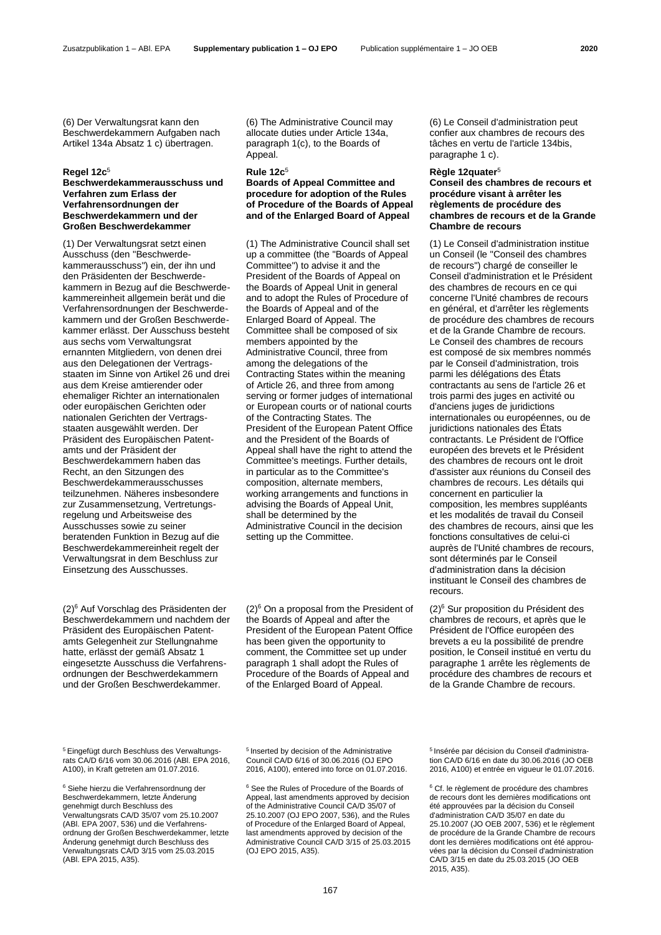(6) Der Verwaltungsrat kann den Beschwerdekammern Aufgaben nach Artikel [134a Absatz 1 c\)](http://www.epo.org/law-practice/legal-texts/html/epc/2016/d/ar134a.html) übertragen.

# <span id="page-3-0"></span>**Regel 12c**<sup>5</sup>

## **Beschwerdekammerausschuss und Verfahren zum Erlass der Verfahrensordnungen der Beschwerdekammern und der Großen Beschwerdekammer**

(1) Der Verwaltungsrat setzt einen Ausschuss (den "Beschwerdekammerausschuss") ein, der ihn und den Präsidenten der Beschwerdekammern in Bezug auf die Beschwerdekammereinheit allgemein berät und die Verfahrensordnungen der Beschwerdekammern und der Großen Beschwerdekammer erlässt. Der Ausschuss besteht aus sechs vom Verwaltungsrat ernannten Mitgliedern, von denen drei aus den Delegationen der Vertragsstaaten im Sinne vo[n Artikel](http://www.epo.org/law-practice/legal-texts/html/epc/2016/d/ar26.html) 26 und drei aus dem Kreise amtierender oder ehemaliger Richter an internationalen oder europäischen Gerichten oder nationalen Gerichten der Vertragsstaaten ausgewählt werden. Der Präsident des Europäischen Patentamts und der Präsident der Beschwerdekammern haben das Recht, an den Sitzungen des Beschwerdekammerausschusses teilzunehmen. Näheres insbesondere zur Zusammensetzung, Vertretungsregelung und Arbeitsweise des Ausschusses sowie zu seiner beratenden Funktion in Bezug auf die Beschwerdekammereinheit regelt der Verwaltungsrat in dem Beschluss zur Einsetzung des Ausschusses.

<span id="page-3-1"></span>(2)<sup>6</sup> Auf Vorschlag des Präsidenten der Beschwerdekammern und nachdem der Präsident des Europäischen Patentamts Gelegenheit zur Stellungnahme hatte, erlässt der gemäß [Absatz 1](http://www.epo.org/law-practice/legal-texts/html/epc/2016/d/r12c.html) eingesetzte Ausschuss die Verfahrensordnungen der Beschwerdekammern und der Großen Beschwerdekammer.

(6) The Administrative Council may allocate duties unde[r Article](http://www.epo.org/law-practice/legal-texts/html/epc/2016/e/ar134a.html) 134a, [paragraph 1\(c\),](http://www.epo.org/law-practice/legal-texts/html/epc/2016/e/ar134a.html) to the Boards of Appeal.

#### **Rule 12c**[5](#page-3-0)

**Boards of Appeal Committee and procedure for adoption of the Rules of Procedure of the Boards of Appeal and of the Enlarged Board of Appeal**

(1) The Administrative Council shall set up a committee (the "Boards of Appeal Committee") to advise it and the President of the Boards of Appeal on the Boards of Appeal Unit in general and to adopt the Rules of Procedure of the Boards of Appeal and of the Enlarged Board of Appeal. The Committee shall be composed of six members appointed by the Administrative Council, three from among the delegations of the Contracting States within the meaning of [Article](http://www.epo.org/law-practice/legal-texts/html/epc/2016/e/ar26.html) 26, and three from among serving or former judges of international or European courts or of national courts of the Contracting States. The President of the European Patent Office and the President of the Boards of Appeal shall have the right to attend the Committee's meetings. Further details, in particular as to the Committee's composition, alternate members, working arrangements and functions in advising the Boards of Appeal Unit, shall be determined by the Administrative Council in the decision setting up the Committee.

 $(2)^6$  $(2)^6$  $(2)^6$  On a proposal from the President of the Boards of Appeal and after the President of the European Patent Office has been given the opportunity to comment, the Committee set up under [paragraph 1](http://www.epo.org/law-practice/legal-texts/html/epc/2016/e/r12c.html) shall adopt the Rules of Procedure of the Boards of Appeal and of the Enlarged Board of Appeal.

(6) Le Conseil d'administration peut confier aux chambres de recours des tâches en vertu de l'article [134bis,](http://www.epo.org/law-practice/legal-texts/html/epc/2016/f/ar134a.html)  [paragraphe 1 c\).](http://www.epo.org/law-practice/legal-texts/html/epc/2016/f/ar134a.html)

#### **Règle 12quate[r](#page-3-0)**<sup>5</sup>

## **Conseil des chambres de recours et procédure visant à arrêter les règlements de procédure des chambres de recours et de la Grande Chambre de recours**

(1) Le Conseil d'administration institue un Conseil (le "Conseil des chambres de recours") chargé de conseiller le Conseil d'administration et le Président des chambres de recours en ce qui concerne l'Unité chambres de recours en général, et d'arrêter les règlements de procédure des chambres de recours et de la Grande Chambre de recours. Le Conseil des chambres de recours est composé de six membres nommés par le Conseil d'administration, trois parmi les délégations des États contractants au sens d[e l'article](http://www.epo.org/law-practice/legal-texts/html/epc/2016/f/ar26.html) 26 et trois parmi des juges en activité ou d'anciens juges de juridictions internationales ou européennes, ou de juridictions nationales des États contractants. Le Président de l'Office européen des brevets et le Président des chambres de recours ont le droit d'assister aux réunions du Conseil des chambres de recours. Les détails qui concernent en particulier la composition, les membres suppléants et les modalités de travail du Conseil des chambres de recours, ainsi que les fonctions consultatives de celui-ci auprès de l'Unité chambres de recours, sont déterminés par le Conseil d'administration dans la décision instituant le Conseil des chambres de recours.

(2[\)](#page-3-1)<sup>6</sup> Sur proposition du Président des chambres de recours, et après que le Président de l'Office européen des brevets a eu la possibilité de prendre position, le Conseil institué en vertu du [paragraphe 1](http://www.epo.org/law-practice/legal-texts/html/epc/2016/f/r12c.html) arrête les règlements de procédure des chambres de recours et de la Grande Chambre de recours.

<sup>5</sup> Eingefügt durch Beschluss des Verwaltungsrats CA/D 6/16 vom 30.06.2016 [\(ABl. EPA 2016,](http://www.epo.org/law-practice/legal-texts/official-journal/2016/12/a100_de.html)  [A100\)](http://www.epo.org/law-practice/legal-texts/official-journal/2016/12/a100_de.html), in Kraft getreten am 01.07.2016.

<sup>6</sup> Siehe hierzu die Verfahrensordnung der Beschwerdekammern, letzte Änderung genehmigt durch Beschluss des Verwaltungsrats CA/D 35/07 vom 25.10.2007 (ABl. EPA 2007, 536) und die Verfahrensordnung der Großen Beschwerdekammer, letzte Änderung genehmigt durch Beschluss des Verwaltungsrats CA/D 3/15 vom 25.03.2015 [\(ABl. EPA 2015, A35\).](http://www.epo.org/law-practice/legal-texts/official-journal/2015/04/a35_de.html)

[5](#page-3-0) Inserted by decision of the Administrative Council CA/D 6/16 of 30.06.2016 [\(OJ EPO](http://www.epo.org/law-practice/legal-texts/official-journal/2016/12/a100.html)  [2016, A100\),](http://www.epo.org/law-practice/legal-texts/official-journal/2016/12/a100.html) entered into force on 01.07.2016.

[6](#page-3-1) See the Rules of Procedure of the Boards of Appeal, last amendments approved by decision of the Administrative Council CA/D 35/07 of 25.10.2007 (OJ EPO 2007, 536), and the Rules of Procedure of the Enlarged Board of Appeal, last amendments approved by decision of the Administrative Council CA/D 3/15 of 25.03.2015 [\(OJ EPO 2015, A35\).](http://www.epo.org/law-practice/legal-texts/official-journal/2015/04/a35.html)

[5](#page-3-0) Insérée par décision du Conseil d'administration CA/D 6/16 en date du 30.06.2016 [\(JO OEB](http://www.epo.org/law-practice/legal-texts/official-journal/2016/12/a100_fr.html)  [2016, A100\)](http://www.epo.org/law-practice/legal-texts/official-journal/2016/12/a100_fr.html) et entrée en vigueur le 01.07.2016.

<sup>[6](#page-3-1)</sup> Cf. le règlement de procédure des chambres de recours dont les dernières modifications ont été approuvées par la décision du Conseil d'administration CA/D 35/07 en date du 25.10.2007 (JO OEB 2007, 536) et le règlement de procédure de la Grande Chambre de recours dont les dernières modifications ont été approuvées par la décision du Conseil d'administration CA/D 3/15 en date du 25.03.2015 [\(JO OEB](http://www.epo.org/law-practice/legal-texts/official-journal/2015/04/a35_fr.html)  [2015, A35\)](http://www.epo.org/law-practice/legal-texts/official-journal/2015/04/a35_fr.html).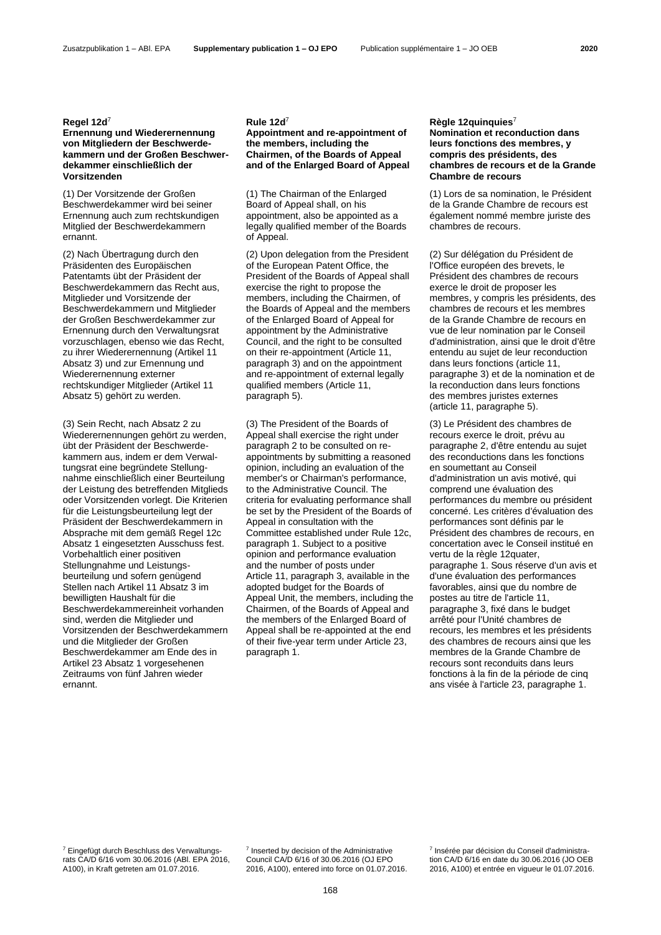#### <span id="page-4-0"></span>**Regel 12d**<sup>7</sup>

### **Ernennung und Wiederernennung von Mitgliedern der Beschwerdekammern und der Großen Beschwerdekammer einschließlich der Vorsitzenden**

(1) Der Vorsitzende der Großen Beschwerdekammer wird bei seiner Ernennung auch zum rechtskundigen Mitglied der Beschwerdekammern ernannt.

(2) Nach Übertragung durch den Präsidenten des Europäischen Patentamts übt der Präsident der Beschwerdekammern das Recht aus, Mitglieder und Vorsitzende der Beschwerdekammern und Mitglieder der Großen Beschwerdekammer zur Ernennung durch den Verwaltungsrat vorzuschlagen, ebenso wie das Recht, zu ihrer Wiederernennung [\(Artikel](http://www.epo.org/law-practice/legal-texts/html/epc/2016/d/ar11.html) 11 [Absatz 3\)](http://www.epo.org/law-practice/legal-texts/html/epc/2016/d/ar11.html) und zur Ernennung und Wiederernennung externer rechtskundiger Mitglieder [\(Artikel](http://www.epo.org/law-practice/legal-texts/html/epc/2016/d/ar11.html) 11 [Absatz 5\)](http://www.epo.org/law-practice/legal-texts/html/epc/2016/d/ar11.html) gehört zu werden.

(3) Sein Recht, nac[h Absatz 2](http://www.epo.org/law-practice/legal-texts/html/epc/2016/d/r12d.html) zu Wiederernennungen gehört zu werden, übt der Präsident der Beschwerdekammern aus, indem er dem Verwaltungsrat eine begründete Stellungnahme einschließlich einer Beurteilung der Leistung des betreffenden Mitglieds oder Vorsitzenden vorlegt. Die Kriterien für die Leistungsbeurteilung legt der Präsident der Beschwerdekammern in Absprache mit dem gemäß [Regel](http://www.epo.org/law-practice/legal-texts/html/epc/2016/d/r12c.html) 12c [Absatz 1](http://www.epo.org/law-practice/legal-texts/html/epc/2016/d/r12c.html) eingesetzten Ausschuss fest. Vorbehaltlich einer positiven Stellungnahme und Leistungsbeurteilung und sofern genügend Stellen nach Artikel [11 Absatz 3](http://www.epo.org/law-practice/legal-texts/html/epc/2016/d/ar11.html) im bewilligten Haushalt für die Beschwerdekammereinheit vorhanden sind, werden die Mitglieder und Vorsitzenden der Beschwerdekammern und die Mitglieder der Großen Beschwerdekammer am Ende des in Artikel [23 Absatz 1](http://www.epo.org/law-practice/legal-texts/html/epc/2016/d/ar23.html) vorgesehenen Zeitraums von fünf Jahren wieder ernannt.

# **Rule 12[d](#page-4-0)**<sup>7</sup>

# **Appointment and re-appointment of the members, including the Chairmen, of the Boards of Appeal and of the Enlarged Board of Appeal**

(1) The Chairman of the Enlarged Board of Appeal shall, on his appointment, also be appointed as a legally qualified member of the Boards of Appeal.

(2) Upon delegation from the President of the European Patent Office, the President of the Boards of Appeal shall exercise the right to propose the members, including the Chairmen, of the Boards of Appeal and the members of the Enlarged Board of Appeal for appointment by the Administrative Council, and the right to be consulted on their re-appointment [\(Article](http://www.epo.org/law-practice/legal-texts/html/epc/2016/e/ar11.html) 11, [paragraph](http://www.epo.org/law-practice/legal-texts/html/epc/2016/e/ar11.html) 3) and on the appointment and re-appointment of external legally qualified members [\(Article](http://www.epo.org/law-practice/legal-texts/html/epc/2016/e/ar11.html) 11, [paragraph](http://www.epo.org/law-practice/legal-texts/html/epc/2016/e/ar11.html) 5).

(3) The President of the Boards of Appeal shall exercise the right under [paragraph 2](http://www.epo.org/law-practice/legal-texts/html/epc/2016/e/r12d.html) to be consulted on reappointments by submitting a reasoned opinion, including an evaluation of the member's or Chairman's performance, to the Administrative Council. The criteria for evaluating performance shall be set by the President of the Boards of Appeal in consultation with the Committee established unde[r Rule](http://www.epo.org/law-practice/legal-texts/html/epc/2016/e/r12c.html) 12c, [paragraph 1.](http://www.epo.org/law-practice/legal-texts/html/epc/2016/e/r12c.html) Subject to a positive opinion and performance evaluation and the number of posts under Article [11, paragraph 3,](http://www.epo.org/law-practice/legal-texts/html/epc/2016/e/ar11.html) available in the adopted budget for the Boards of Appeal Unit, the members, including the Chairmen, of the Boards of Appeal and the members of the Enlarged Board of Appeal shall be re-appointed at the end of their five-year term unde[r Article](http://www.epo.org/law-practice/legal-texts/html/epc/2016/e/ar23.html) 23, [paragraph 1.](http://www.epo.org/law-practice/legal-texts/html/epc/2016/e/ar23.html)

#### **Règle 12quinquie[s](#page-4-0)**<sup>7</sup> **Nomination et reconduction dans leurs fonctions des membres, y compris des présidents, des chambres de recours et de la Grande Chambre de recours**

(1) Lors de sa nomination, le Président de la Grande Chambre de recours est également nommé membre juriste des chambres de recours.

(2) Sur délégation du Président de l'Office européen des brevets, le Président des chambres de recours exerce le droit de proposer les membres, y compris les présidents, des chambres de recours et les membres de la Grande Chambre de recours en vue de leur nomination par le Conseil d'administration, ainsi que le droit d'être entendu au sujet de leur reconduction dans leurs fonctions [\(article](http://www.epo.org/law-practice/legal-texts/html/epc/2016/f/ar11.html) 11, [paragraphe 3\)](http://www.epo.org/law-practice/legal-texts/html/epc/2016/f/ar11.html) et de la nomination et de la reconduction dans leurs fonctions des membres juristes externes (article [11, paragraphe 5\)](http://www.epo.org/law-practice/legal-texts/html/epc/2016/f/ar11.html).

(3) Le Président des chambres de recours exerce le droit, prévu au [paragraphe 2,](http://www.epo.org/law-practice/legal-texts/html/epc/2016/f/r12d.html) d'être entendu au sujet des reconductions dans les fonctions en soumettant au Conseil d'administration un avis motivé, qui comprend une évaluation des performances du membre ou président concerné. Les critères d'évaluation des performances sont définis par le Président des chambres de recours, en concertation avec le Conseil institué en vertu de la règle [12quater,](http://www.epo.org/law-practice/legal-texts/html/epc/2016/f/r12c.html)  [paragraphe](http://www.epo.org/law-practice/legal-texts/html/epc/2016/f/r12c.html) 1. Sous réserve d'un avis et d'une évaluation des performances favorables, ainsi que du nombre de postes au titre d[e l'article](http://www.epo.org/law-practice/legal-texts/html/epc/2016/f/ar11.html) 11, [paragraphe 3,](http://www.epo.org/law-practice/legal-texts/html/epc/2016/f/ar11.html) fixé dans le budget arrêté pour l'Unité chambres de recours, les membres et les présidents des chambres de recours ainsi que les membres de la Grande Chambre de recours sont reconduits dans leurs fonctions à la fin de la période de cinq ans visée à l'article [23, paragraphe 1.](http://www.epo.org/law-practice/legal-texts/html/epc/2016/f/ar23.html)

<sup>7</sup> Eingefügt durch Beschluss des Verwaltungsrats CA/D 6/16 vom 30.06.2016 [\(ABl. EPA 2016,](http://www.epo.org/law-practice/legal-texts/official-journal/2016/12/a100_de.html)  [A100\)](http://www.epo.org/law-practice/legal-texts/official-journal/2016/12/a100_de.html), in Kraft getreten am 01.07.2016.

[7](#page-4-0) Inserted by decision of the Administrative Council CA/D 6/16 of 30.06.2016 [\(OJ EPO](http://www.epo.org/law-practice/legal-texts/official-journal/2016/12/a100.html)  [2016, A100\),](http://www.epo.org/law-practice/legal-texts/official-journal/2016/12/a100.html) entered into force on 01.07.2016.

[7](#page-4-0) Insérée par décision du Conseil d'administration CA/D 6/16 en date du 30.06.2016 [\(JO OEB](http://www.epo.org/law-practice/legal-texts/official-journal/2016/12/a100_fr.html)  [2016, A100\)](http://www.epo.org/law-practice/legal-texts/official-journal/2016/12/a100_fr.html) et entrée en vigueur le 01.07.2016.